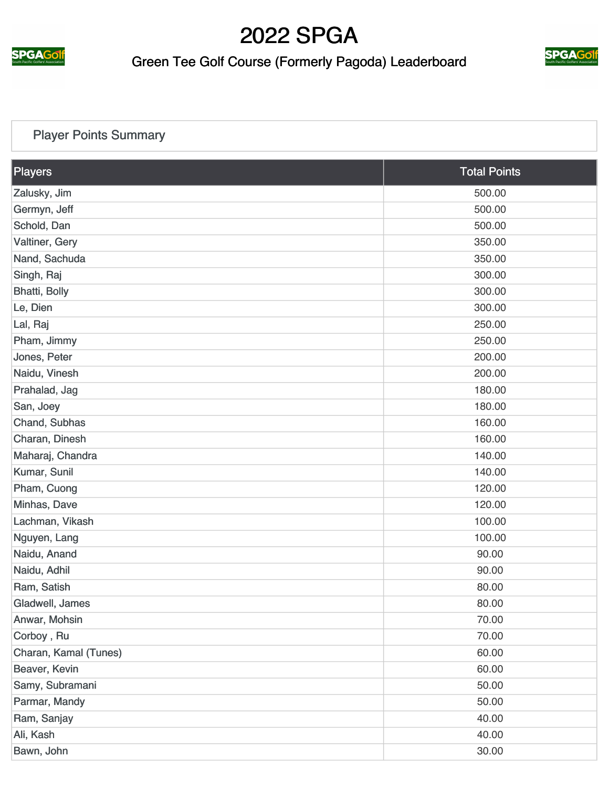

### Green Tee Golf Course (Formerly Pagoda) Leaderboard



#### [Player Points Summary](https://cdn2.golfgenius.com/v2tournaments/total_points?league_id=287068&round_id=896691)

| Players               | <b>Total Points</b> |
|-----------------------|---------------------|
| Zalusky, Jim          | 500.00              |
| Germyn, Jeff          | 500.00              |
| Schold, Dan           | 500.00              |
| Valtiner, Gery        | 350.00              |
| Nand, Sachuda         | 350.00              |
| Singh, Raj            | 300.00              |
| Bhatti, Bolly         | 300.00              |
| Le, Dien              | 300.00              |
| Lal, Raj              | 250.00              |
| Pham, Jimmy           | 250.00              |
| Jones, Peter          | 200.00              |
| Naidu, Vinesh         | 200.00              |
| Prahalad, Jag         | 180.00              |
| San, Joey             | 180.00              |
| Chand, Subhas         | 160.00              |
| Charan, Dinesh        | 160.00              |
| Maharaj, Chandra      | 140.00              |
| Kumar, Sunil          | 140.00              |
| Pham, Cuong           | 120.00              |
| Minhas, Dave          | 120.00              |
| Lachman, Vikash       | 100.00              |
| Nguyen, Lang          | 100.00              |
| Naidu, Anand          | 90.00               |
| Naidu, Adhil          | 90.00               |
| Ram, Satish           | 80.00               |
| Gladwell, James       | 80.00               |
| Anwar, Mohsin         | 70.00               |
| Corboy, Ru            | 70.00               |
| Charan, Kamal (Tunes) | 60.00               |
| Beaver, Kevin         | 60.00               |
| Samy, Subramani       | 50.00               |
| Parmar, Mandy         | 50.00               |
| Ram, Sanjay           | 40.00               |
| Ali, Kash             | 40.00               |
| Bawn, John            | 30.00               |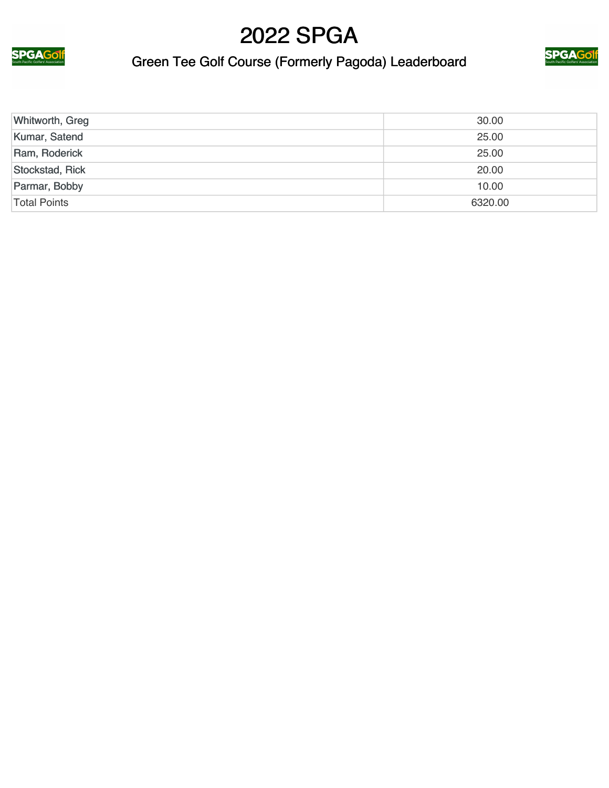

### Green Tee Golf Course (Formerly Pagoda) Leaderboard



| Whitworth, Greg | 30.00   |
|-----------------|---------|
| Kumar, Satend   | 25.00   |
| Ram, Roderick   | 25.00   |
| Stockstad, Rick | 20.00   |
| Parmar, Bobby   | 10.00   |
| Total Points    | 6320.00 |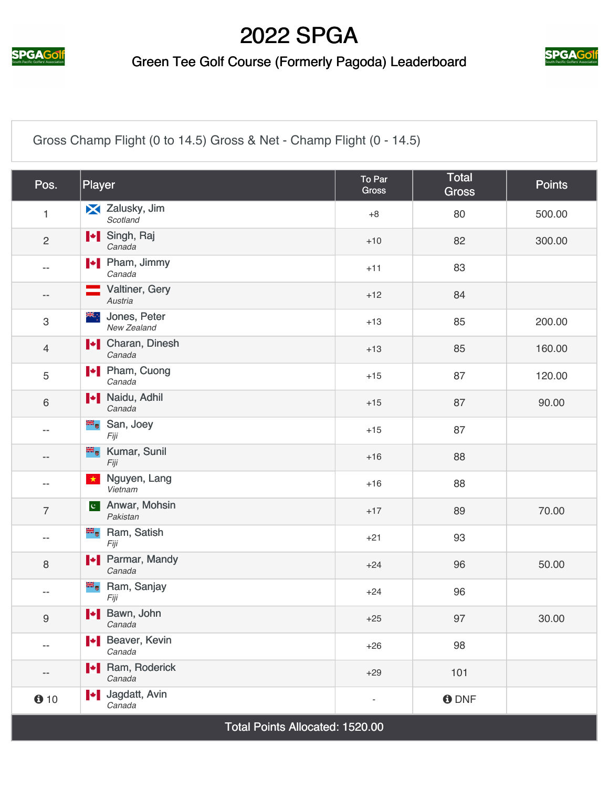

### Green Tee Golf Course (Formerly Pagoda) Leaderboard



[Gross Champ Flight \(0 to 14.5\) Gross & Net - Champ Flight \(0 - 14.5\)](https://cdn2.golfgenius.com/v2tournaments/2537831?called_from=&round_index=2)

| Pos.                      | Player                                           | To Par<br><b>Gross</b>   | Total<br><b>Gross</b> | <b>Points</b> |  |  |
|---------------------------|--------------------------------------------------|--------------------------|-----------------------|---------------|--|--|
| $\mathbf{1}$              | X Zalusky, Jim<br>Scotland                       | $+8$                     | 80                    | 500.00        |  |  |
| $\overline{2}$            | I Singh, Raj<br>Canada                           | $+10$                    | 82                    | 300.00        |  |  |
| $\overline{\phantom{a}}$  | $\blacktriangleright$ Pham, Jimmy<br>Canada      | $+11$                    | 83                    |               |  |  |
| $-\,-$                    | Valtiner, Gery<br>Austria                        | $+12$                    | 84                    |               |  |  |
| $\ensuremath{\mathsf{3}}$ | Jones, Peter<br>Ж∴<br>New Zealand                | $+13$                    | 85                    | 200.00        |  |  |
| $\overline{4}$            | <b>I</b> Charan, Dinesh<br>Canada                | $+13$                    | 85                    | 160.00        |  |  |
| 5                         | Pham, Cuong<br>Canada                            | $+15$                    | 87                    | 120.00        |  |  |
| $\,6\,$                   | <b>Naidu</b> , Adhil<br>Canada                   | $+15$                    | 87                    | 90.00         |  |  |
| $-$                       | San, Joey<br>Fiji                                | $+15$                    | 87                    |               |  |  |
| $-\,-$                    | <b>E</b> Kumar, Sunil<br>Fiji                    | $+16$                    | 88                    |               |  |  |
| $-$                       | Nguyen, Lang<br>$\bigstar$<br>Vietnam            | $+16$                    | 88                    |               |  |  |
| $\overline{7}$            | Anwar, Mohsin<br>$ {\bf C}^+ $<br>Pakistan       | $+17$                    | 89                    | 70.00         |  |  |
| $-$                       | <b>E</b> Ram, Satish<br>Fiji                     | $+21$                    | 93                    |               |  |  |
| 8                         | <b>I</b> Parmar, Mandy<br>Canada                 | $+24$                    | 96                    | 50.00         |  |  |
| $-$                       | <sup>■</sup> Ram, Sanjay<br>Fiji                 | $+24$                    | 96                    |               |  |  |
| $\boldsymbol{9}$          | H Bawn, John<br>Canada                           | $+25$                    | 97                    | 30.00         |  |  |
| $-$                       | Beaver, Kevin<br>Canada                          | $+26$                    | 98                    |               |  |  |
| --                        | <b>I</b> Ram, Roderick<br>Canada                 | $+29$                    | 101                   |               |  |  |
| 610                       | Jagdatt, Avin<br>$\blacktriangleright$<br>Canada | $\overline{\phantom{a}}$ | <b>O</b> DNF          |               |  |  |
|                           | Total Points Allocated: 1520.00                  |                          |                       |               |  |  |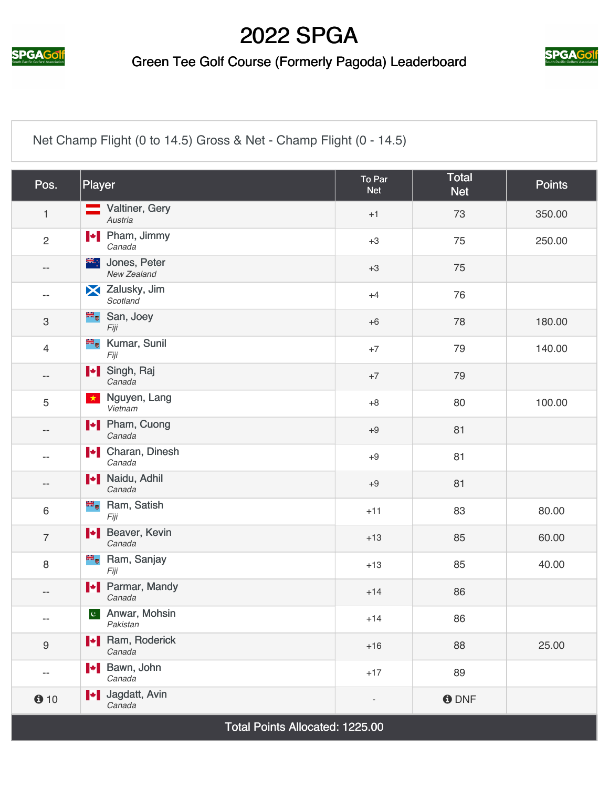

### Green Tee Golf Course (Formerly Pagoda) Leaderboard



[Net Champ Flight \(0 to 14.5\) Gross & Net - Champ Flight \(0 - 14.5\)](https://cdn2.golfgenius.com/v2tournaments/2537832?called_from=&round_index=2)

| Pos.                      | Player                             | To Par<br><b>Net</b>     | <b>Total</b><br><b>Net</b> | <b>Points</b> |
|---------------------------|------------------------------------|--------------------------|----------------------------|---------------|
| $\mathbf{1}$              | Valtiner, Gery<br>Austria          | $+1$                     | 73                         | 350.00        |
| $\overline{2}$            | <b>I</b> Pham, Jimmy<br>Canada     | $+3$                     | 75                         | 250.00        |
| $\overline{\phantom{a}}$  | Jones, Peter<br>≱ਵ∴<br>New Zealand | $+3$                     | 75                         |               |
| --                        | X Zalusky, Jim<br>Scotland         | $+4$                     | 76                         |               |
| $\ensuremath{\mathsf{3}}$ | San, Joey<br>Fiji                  | $+6$                     | 78                         | 180.00        |
| $\overline{4}$            | <b>Kumar, Sunil</b><br>Fiji        | $+7$                     | 79                         | 140.00        |
| $\overline{\phantom{a}}$  | I Singh, Raj<br>Canada             | $+7$                     | 79                         |               |
| 5                         | Nguyen, Lang<br>$\star$<br>Vietnam | $+8$                     | 80                         | 100.00        |
| $-\,-$                    | <b>I</b> Pham, Cuong<br>Canada     | $+9$                     | 81                         |               |
| $-$                       | <b>I</b> Charan, Dinesh<br>Canada  | $+9$                     | 81                         |               |
| $-\,-$                    | <b>Naidu, Adhil</b><br>Canada      | $+9$                     | 81                         |               |
| $6\phantom{1}$            | Ram, Satish<br>Fiji                | $+11$                    | 83                         | 80.00         |
| $\overline{7}$            | Heaver, Kevin<br>Canada            | $+13$                    | 85                         | 60.00         |
| 8                         | <b>E</b> Ram, Sanjay<br>Fiji       | $+13$                    | 85                         | 40.00         |
| $\overline{\phantom{a}}$  | <b>I</b> Parmar, Mandy<br>Canada   | $+14$                    | 86                         |               |
| --                        | c Anwar, Mohsin<br>Pakistan        | $+14$                    | 86                         |               |
| 9                         | <b>I</b> Ram, Roderick<br>Canada   | $+16$                    | 88                         | 25.00         |
| $-$                       | <b>I</b> Bawn, John<br>Canada      | $+17$                    | 89                         |               |
| 010                       | I Jagdatt, Avin<br>Canada          | $\overline{\phantom{a}}$ | <b>O</b> DNF               |               |
|                           | Total Points Allocated: 1225.00    |                          |                            |               |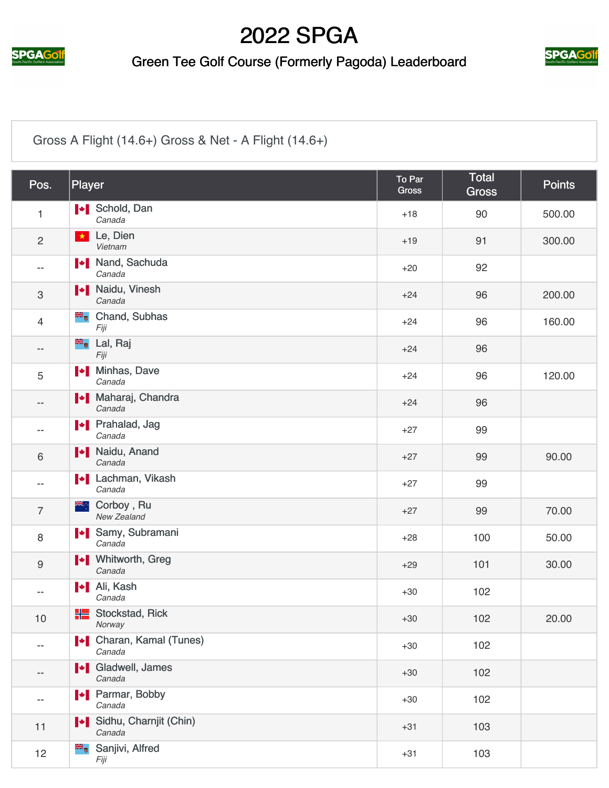

### Green Tee Golf Course (Formerly Pagoda) Leaderboard



### [Gross A Flight \(14.6+\) Gross & Net - A Flight \(14.6+\)](https://cdn2.golfgenius.com/v2tournaments/2547245?called_from=&round_index=2)

| Pos.                      | Player                                     | To Par<br>Gross | Total<br><b>Gross</b> | <b>Points</b> |
|---------------------------|--------------------------------------------|-----------------|-----------------------|---------------|
| $\mathbf{1}$              | <b>I</b> Schold, Dan<br>Canada             | $+18$           | 90                    | 500.00        |
| $\overline{c}$            | Le, Dien<br>$\star$<br>Vietnam             | $+19$           | 91                    | 300.00        |
| --                        | I Nand, Sachuda<br>Canada                  | $+20$           | 92                    |               |
| $\ensuremath{\mathsf{3}}$ | <b>Naidu</b> , Vinesh<br>Canada            | $+24$           | 96                    | 200.00        |
| $\overline{4}$            | <b>E</b> Chand, Subhas<br>Fiji             | $+24$           | 96                    | 160.00        |
| --                        | <b><sup>■</sup>•</b> Lal, Raj<br>Fiji      | $+24$           | 96                    |               |
| 5                         | <b>I</b> Minhas, Dave<br>Canada            | $+24$           | 96                    | 120.00        |
| --                        | Maharaj, Chandra<br>Canada                 | $+24$           | 96                    |               |
|                           | <b>I</b> Prahalad, Jag<br>Canada           | $+27$           | 99                    |               |
| 6                         | <b>I</b> Naidu, Anand<br>Canada            | $+27$           | 99                    | 90.00         |
| $-$                       | <b>Example:</b> Lachman, Vikash<br>Canada  | $+27$           | 99                    |               |
| $\overline{7}$            | ▓<br>Corboy, Ru<br>New Zealand             | $+27$           | 99                    | 70.00         |
| 8                         | Samy, Subramani<br>Canada                  | $+28$           | 100                   | 50.00         |
| $\boldsymbol{9}$          | <b>I</b> Vhitworth, Greg<br>Canada         | $+29$           | 101                   | 30.00         |
| --                        | <b>I</b> Ali, Kash<br>Canada               | $+30$           | 102                   |               |
| $10$                      | <b>H</b> Stockstad, Rick<br>Norway         | $+30$           | 102                   | 20.00         |
| --                        | <b>I + Charan, Kamal (Tunes)</b><br>Canada | $+30$           | 102                   |               |
| $\qquad \qquad -$         | <b>I</b> Gladwell, James<br>Canada         | $+30$           | 102                   |               |
| --                        | Parmar, Bobby<br>Canada                    | $+30$           | 102                   |               |
| 11                        | Sidhu, Charnjit (Chin)<br>Canada           | $+31$           | 103                   |               |
| 12                        | Sanjivi, Alfred<br>Fiji                    | $+31$           | 103                   |               |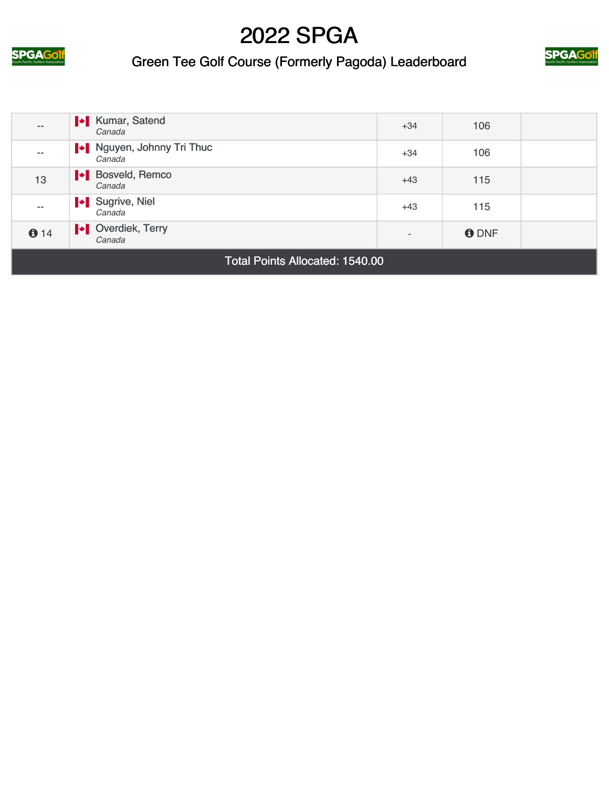





| $\qquad \qquad -$ | <b>I</b> Kumar, Satend<br>Canada          | $+34$                    | 106         |  |
|-------------------|-------------------------------------------|--------------------------|-------------|--|
| $- -$             | Nguyen, Johnny Tri Thuc<br>Canada         | $+34$                    | 106         |  |
| 13                | <b>Example 3</b> Bosveld, Remco<br>Canada | $+43$                    | 115         |  |
| $- -$             | Sugrive, Niel<br>Canada                   | $+43$                    | 115         |  |
| 614               | <b>N</b> Overdiek, Terry<br>Canada        | $\overline{\phantom{0}}$ | <b>ODNF</b> |  |
|                   |                                           |                          |             |  |

Total Points Allocated: 1540.00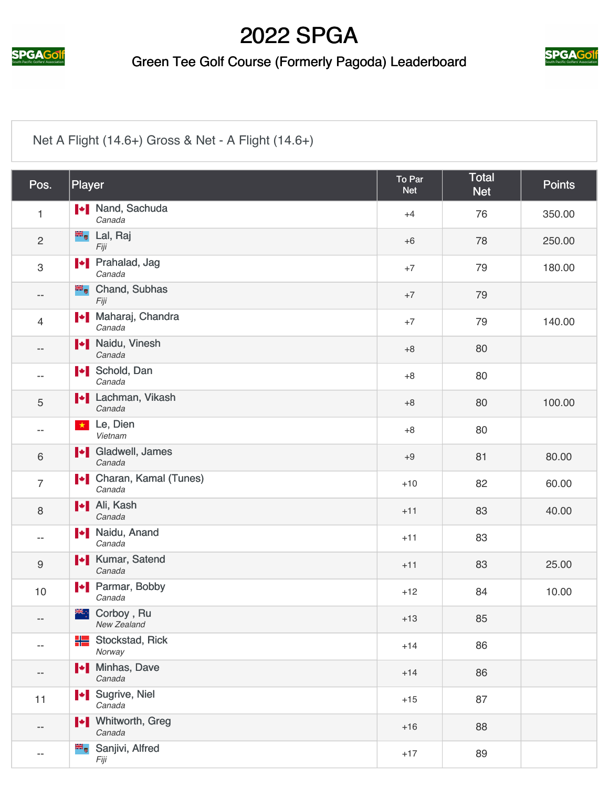

### Green Tee Golf Course (Formerly Pagoda) Leaderboard



### [Net A Flight \(14.6+\) Gross & Net - A Flight \(14.6+\)](https://cdn2.golfgenius.com/v2tournaments/2547247?called_from=&round_index=2)

| Pos.              | Player                                      | To Par<br><b>Net</b> | <b>Total</b><br><b>Net</b> | <b>Points</b> |
|-------------------|---------------------------------------------|----------------------|----------------------------|---------------|
| $\mathbf{1}$      | Nand, Sachuda<br>Canada                     | $+4$                 | 76                         | 350.00        |
| $\overline{2}$    | <sup>■■</sup> Lal, Raj<br>Fiji              | $+6$                 | 78                         | 250.00        |
| 3                 | <b>I</b> Prahalad, Jag<br>Canada            | $+7$                 | 79                         | 180.00        |
| $\qquad \qquad -$ | <b>E</b> <sub>v</sub> Chand, Subhas<br>Fiji | $+7$                 | 79                         |               |
| $\overline{4}$    | Maharaj, Chandra<br>Canada                  | $+7$                 | 79                         | 140.00        |
| --                | <b>I</b> Naidu, Vinesh<br>Canada            | $+8$                 | 80                         |               |
|                   | <b>I</b> Schold, Dan<br>Canada              | $+8$                 | 80                         |               |
| 5                 | <b>I</b> Lachman, Vikash<br>Canada          | $+8$                 | 80                         | 100.00        |
| --                | Le, Dien<br>$\star$<br>Vietnam              | $+8$                 | 80                         |               |
| $\,6\,$           | I Gladwell, James<br>Canada                 | $+9$                 | 81                         | 80.00         |
| $\overline{7}$    | <b>N</b> Charan, Kamal (Tunes)<br>Canada    | $+10$                | 82                         | 60.00         |
| 8                 | <b>I</b> Ali, Kash<br>Canada                | $+11$                | 83                         | 40.00         |
| $-$               | <b>Naidu, Anand</b><br>Canada               | $+11$                | 83                         |               |
| 9                 | <b>IV</b> Kumar, Satend<br>Canada           | $+11$                | 83                         | 25.00         |
| 10                | <b>I</b> Parmar, Bobby<br>Canada            | $+12$                | 84                         | 10.00         |
| --                | <sup>₩</sup> : Corboy, Ru<br>New Zealand    | $+13$                | 85                         |               |
| --                | <b>H</b> Stockstad, Rick<br>Norway          | $+14$                | 86                         |               |
| --                | <b>I</b> Minhas, Dave<br>Canada             | $+14$                | 86                         |               |
| 11                | I Sugrive, Niel<br>Canada                   | $+15$                | 87                         |               |
| --                | <b>I</b> Vhitworth, Greg<br>Canada          | $+16$                | 88                         |               |
| --                | Sanjivi, Alfred<br>Fiji                     | $+17$                | 89                         |               |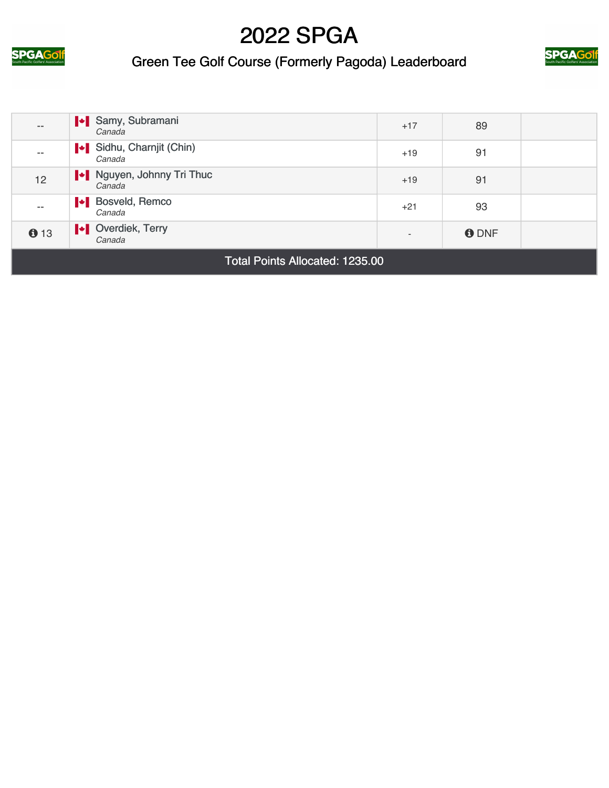





| $- -$                                  | Samy, Subramani<br>Canada                | $+17$ | 89          |  |
|----------------------------------------|------------------------------------------|-------|-------------|--|
| $- -$                                  | Sidhu, Charnjit (Chin)<br>Canada         | $+19$ | 91          |  |
| 12                                     | Nguyen, Johnny Tri Thuc<br>Canada        | $+19$ | 91          |  |
| $- -$                                  | <b>Exercise</b> Bosveld, Remco<br>Canada | $+21$ | 93          |  |
| 613                                    | Verdiek, Terry<br>Canada                 |       | <b>ODNF</b> |  |
| <b>Total Points Allocated: 1235.00</b> |                                          |       |             |  |